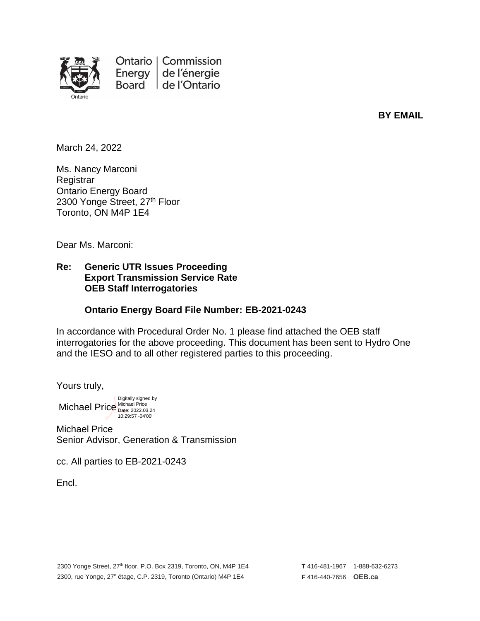

Ontario | Commission Energy de l'énergie Board de l'Ontario

**BY EMAIL**

March 24, 2022

Ms. Nancy Marconi **Registrar** Ontario Energy Board 2300 Yonge Street, 27<sup>th</sup> Floor Toronto, ON M4P 1E4

Dear Ms. Marconi:

#### **Re: Generic UTR Issues Proceeding Export Transmission Service Rate OEB Staff Interrogatories**

#### **Ontario Energy Board File Number: EB-2021-0243**

In accordance with Procedural Order No. 1 please find attached the OEB staff interrogatories for the above proceeding. This document has been sent to Hydro One and the IESO and to all other registered parties to this proceeding.

Yours truly,

Michael Price Nichael Price Digitally signed by 10:29:57 -04'00'

Michael Price Senior Advisor, Generation & Transmission

cc. All parties to EB-2021-0243

Encl.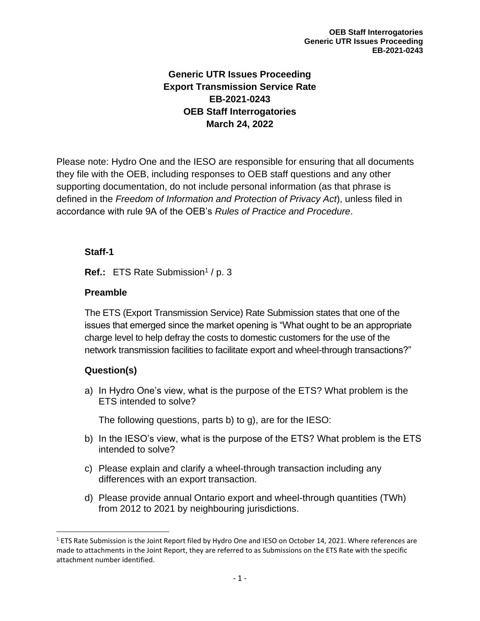# **Generic UTR Issues Proceeding Export Transmission Service Rate EB-2021-0243 OEB Staff Interrogatories March 24, 2022**

Please note: Hydro One and the IESO are responsible for ensuring that all documents they file with the OEB, including responses to OEB staff questions and any other supporting documentation, do not include personal information (as that phrase is defined in the *Freedom of Information and Protection of Privacy Act*), unless filed in accordance with rule 9A of the OEB's *Rules of Practice and Procedure*.

## **Staff-1**

Ref.: ETS Rate Submission<sup>1</sup> / p. 3

## **Preamble**

The ETS (Export Transmission Service) Rate Submission states that one of the issues that emerged since the market opening is "What ought to be an appropriate charge level to help defray the costs to domestic customers for the use of the network transmission facilities to facilitate export and wheel-through transactions?"

# **Question(s)**

a) In Hydro One's view, what is the purpose of the ETS? What problem is the ETS intended to solve?

The following questions, parts b) to g), are for the IESO:

- b) In the IESO's view, what is the purpose of the ETS? What problem is the ETS intended to solve?
- c) Please explain and clarify a wheel-through transaction including any differences with an export transaction.
- d) Please provide annual Ontario export and wheel-through quantities (TWh) from 2012 to 2021 by neighbouring jurisdictions.

 $1$  ETS Rate Submission is the Joint Report filed by Hydro One and IESO on October 14, 2021. Where references are made to attachments in the Joint Report, they are referred to as Submissions on the ETS Rate with the specific attachment number identified.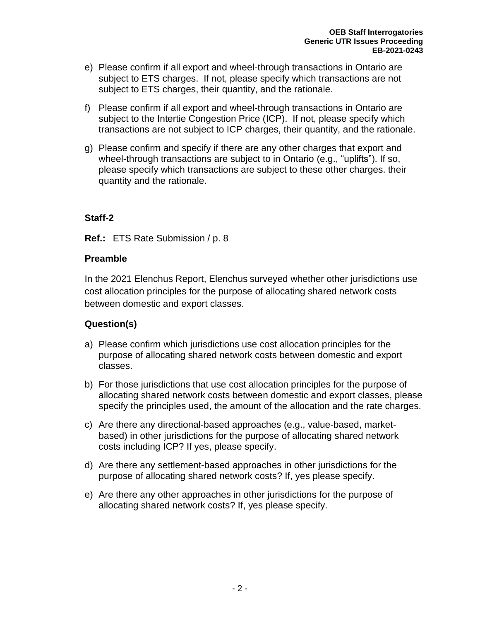- e) Please confirm if all export and wheel-through transactions in Ontario are subject to ETS charges. If not, please specify which transactions are not subject to ETS charges, their quantity, and the rationale.
- f) Please confirm if all export and wheel-through transactions in Ontario are subject to the Intertie Congestion Price (ICP). If not, please specify which transactions are not subject to ICP charges, their quantity, and the rationale.
- g) Please confirm and specify if there are any other charges that export and wheel-through transactions are subject to in Ontario (e.g., "uplifts"). If so, please specify which transactions are subject to these other charges. their quantity and the rationale.

**Ref.:** ETS Rate Submission / p. 8

#### **Preamble**

In the 2021 Elenchus Report, Elenchus surveyed whether other jurisdictions use cost allocation principles for the purpose of allocating shared network costs between domestic and export classes.

- a) Please confirm which jurisdictions use cost allocation principles for the purpose of allocating shared network costs between domestic and export classes.
- b) For those jurisdictions that use cost allocation principles for the purpose of allocating shared network costs between domestic and export classes, please specify the principles used, the amount of the allocation and the rate charges.
- c) Are there any directional-based approaches (e.g., value-based, marketbased) in other jurisdictions for the purpose of allocating shared network costs including ICP? If yes, please specify.
- d) Are there any settlement-based approaches in other jurisdictions for the purpose of allocating shared network costs? If, yes please specify.
- e) Are there any other approaches in other jurisdictions for the purpose of allocating shared network costs? If, yes please specify.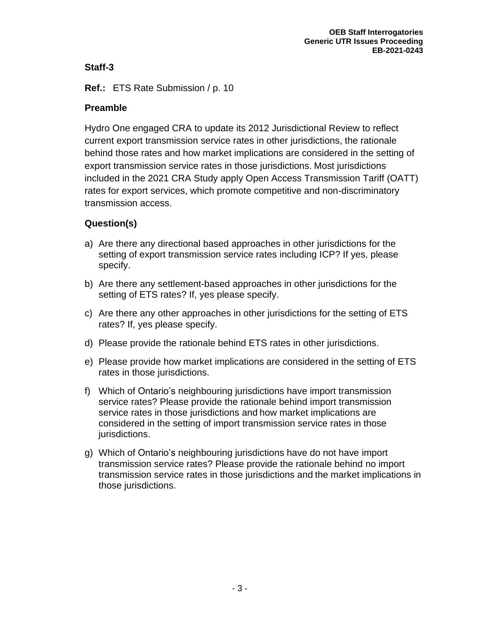**Ref.:** ETS Rate Submission / p. 10

## **Preamble**

Hydro One engaged CRA to update its 2012 Jurisdictional Review to reflect current export transmission service rates in other jurisdictions, the rationale behind those rates and how market implications are considered in the setting of export transmission service rates in those jurisdictions. Most jurisdictions included in the 2021 CRA Study apply Open Access Transmission Tariff (OATT) rates for export services, which promote competitive and non-discriminatory transmission access.

- a) Are there any directional based approaches in other jurisdictions for the setting of export transmission service rates including ICP? If yes, please specify.
- b) Are there any settlement-based approaches in other jurisdictions for the setting of ETS rates? If, yes please specify.
- c) Are there any other approaches in other jurisdictions for the setting of ETS rates? If, yes please specify.
- d) Please provide the rationale behind ETS rates in other jurisdictions.
- e) Please provide how market implications are considered in the setting of ETS rates in those jurisdictions.
- f) Which of Ontario's neighbouring jurisdictions have import transmission service rates? Please provide the rationale behind import transmission service rates in those jurisdictions and how market implications are considered in the setting of import transmission service rates in those jurisdictions.
- g) Which of Ontario's neighbouring jurisdictions have do not have import transmission service rates? Please provide the rationale behind no import transmission service rates in those jurisdictions and the market implications in those jurisdictions.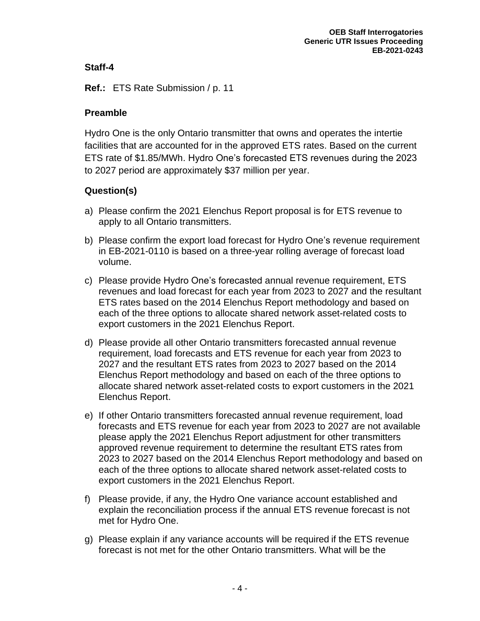**Ref.:** ETS Rate Submission / p. 11

#### **Preamble**

Hydro One is the only Ontario transmitter that owns and operates the intertie facilities that are accounted for in the approved ETS rates. Based on the current ETS rate of \$1.85/MWh. Hydro One's forecasted ETS revenues during the 2023 to 2027 period are approximately \$37 million per year.

- a) Please confirm the 2021 Elenchus Report proposal is for ETS revenue to apply to all Ontario transmitters.
- b) Please confirm the export load forecast for Hydro One's revenue requirement in EB-2021-0110 is based on a three-year rolling average of forecast load volume.
- c) Please provide Hydro One's forecasted annual revenue requirement, ETS revenues and load forecast for each year from 2023 to 2027 and the resultant ETS rates based on the 2014 Elenchus Report methodology and based on each of the three options to allocate shared network asset-related costs to export customers in the 2021 Elenchus Report.
- d) Please provide all other Ontario transmitters forecasted annual revenue requirement, load forecasts and ETS revenue for each year from 2023 to 2027 and the resultant ETS rates from 2023 to 2027 based on the 2014 Elenchus Report methodology and based on each of the three options to allocate shared network asset-related costs to export customers in the 2021 Elenchus Report.
- e) If other Ontario transmitters forecasted annual revenue requirement, load forecasts and ETS revenue for each year from 2023 to 2027 are not available please apply the 2021 Elenchus Report adjustment for other transmitters approved revenue requirement to determine the resultant ETS rates from 2023 to 2027 based on the 2014 Elenchus Report methodology and based on each of the three options to allocate shared network asset-related costs to export customers in the 2021 Elenchus Report.
- f) Please provide, if any, the Hydro One variance account established and explain the reconciliation process if the annual ETS revenue forecast is not met for Hydro One.
- g) Please explain if any variance accounts will be required if the ETS revenue forecast is not met for the other Ontario transmitters. What will be the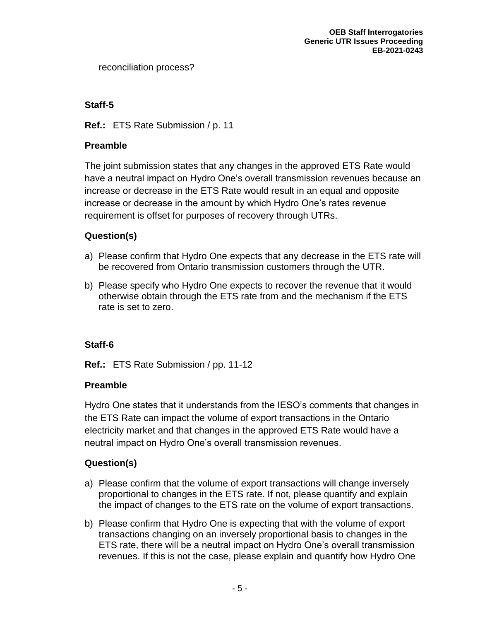reconciliation process?

# **Staff-5**

## **Ref.:** ETS Rate Submission / p. 11

#### **Preamble**

The joint submission states that any changes in the approved ETS Rate would have a neutral impact on Hydro One's overall transmission revenues because an increase or decrease in the ETS Rate would result in an equal and opposite increase or decrease in the amount by which Hydro One's rates revenue requirement is offset for purposes of recovery through UTRs.

# **Question(s)**

- a) Please confirm that Hydro One expects that any decrease in the ETS rate will be recovered from Ontario transmission customers through the UTR.
- b) Please specify who Hydro One expects to recover the revenue that it would otherwise obtain through the ETS rate from and the mechanism if the ETS rate is set to zero.

## **Staff-6**

**Ref.:** ETS Rate Submission / pp. 11-12

## **Preamble**

Hydro One states that it understands from the IESO's comments that changes in the ETS Rate can impact the volume of export transactions in the Ontario electricity market and that changes in the approved ETS Rate would have a neutral impact on Hydro One's overall transmission revenues.

- a) Please confirm that the volume of export transactions will change inversely proportional to changes in the ETS rate. If not, please quantify and explain the impact of changes to the ETS rate on the volume of export transactions.
- b) Please confirm that Hydro One is expecting that with the volume of export transactions changing on an inversely proportional basis to changes in the ETS rate, there will be a neutral impact on Hydro One's overall transmission revenues. If this is not the case, please explain and quantify how Hydro One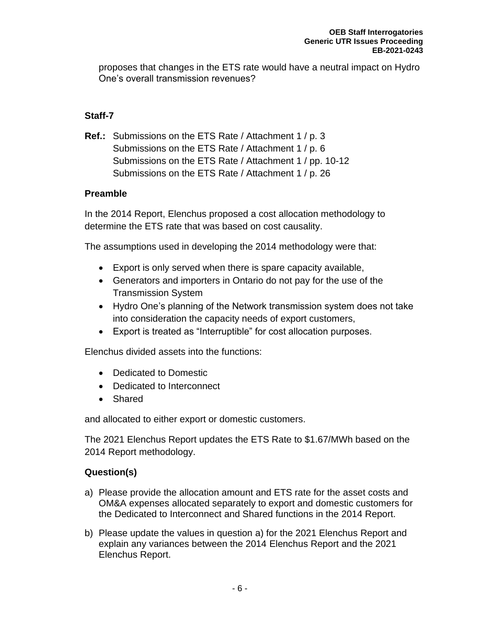proposes that changes in the ETS rate would have a neutral impact on Hydro One's overall transmission revenues?

## **Staff-7**

**Ref.:** Submissions on the ETS Rate / Attachment 1 / p. 3 Submissions on the ETS Rate / Attachment 1 / p. 6 Submissions on the ETS Rate / Attachment 1 / pp. 10-12 Submissions on the ETS Rate / Attachment 1 / p. 26

#### **Preamble**

In the 2014 Report, Elenchus proposed a cost allocation methodology to determine the ETS rate that was based on cost causality.

The assumptions used in developing the 2014 methodology were that:

- Export is only served when there is spare capacity available,
- Generators and importers in Ontario do not pay for the use of the Transmission System
- Hydro One's planning of the Network transmission system does not take into consideration the capacity needs of export customers,
- Export is treated as "Interruptible" for cost allocation purposes.

Elenchus divided assets into the functions:

- Dedicated to Domestic
- Dedicated to Interconnect
- Shared

and allocated to either export or domestic customers.

The 2021 Elenchus Report updates the ETS Rate to \$1.67/MWh based on the 2014 Report methodology.

- a) Please provide the allocation amount and ETS rate for the asset costs and OM&A expenses allocated separately to export and domestic customers for the Dedicated to Interconnect and Shared functions in the 2014 Report.
- b) Please update the values in question a) for the 2021 Elenchus Report and explain any variances between the 2014 Elenchus Report and the 2021 Elenchus Report.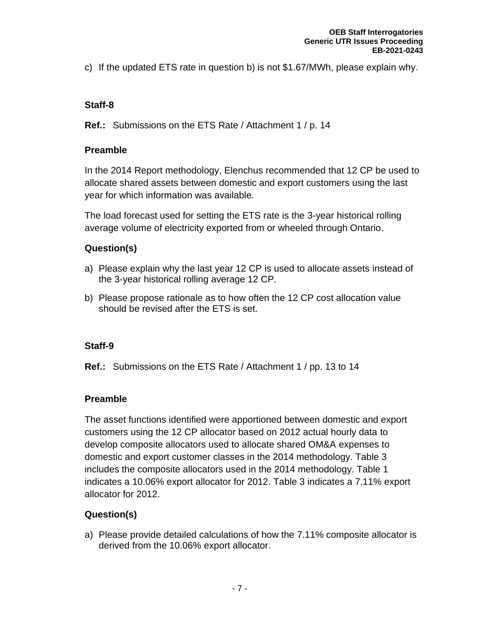c) If the updated ETS rate in question b) is not \$1.67/MWh, please explain why.

# **Staff-8**

**Ref.:** Submissions on the ETS Rate / Attachment 1 / p. 14

# **Preamble**

In the 2014 Report methodology, Elenchus recommended that 12 CP be used to allocate shared assets between domestic and export customers using the last year for which information was available.

The load forecast used for setting the ETS rate is the 3-year historical rolling average volume of electricity exported from or wheeled through Ontario.

# **Question(s)**

- a) Please explain why the last year 12 CP is used to allocate assets instead of the 3-year historical rolling average 12 CP.
- b) Please propose rationale as to how often the 12 CP cost allocation value should be revised after the ETS is set.

# **Staff-9**

**Ref.:** Submissions on the ETS Rate / Attachment 1 / pp. 13 to 14

# **Preamble**

The asset functions identified were apportioned between domestic and export customers using the 12 CP allocator based on 2012 actual hourly data to develop composite allocators used to allocate shared OM&A expenses to domestic and export customer classes in the 2014 methodology. Table 3 includes the composite allocators used in the 2014 methodology. Table 1 indicates a 10.06% export allocator for 2012. Table 3 indicates a 7.11% export allocator for 2012.

# **Question(s)**

a) Please provide detailed calculations of how the 7.11% composite allocator is derived from the 10.06% export allocator.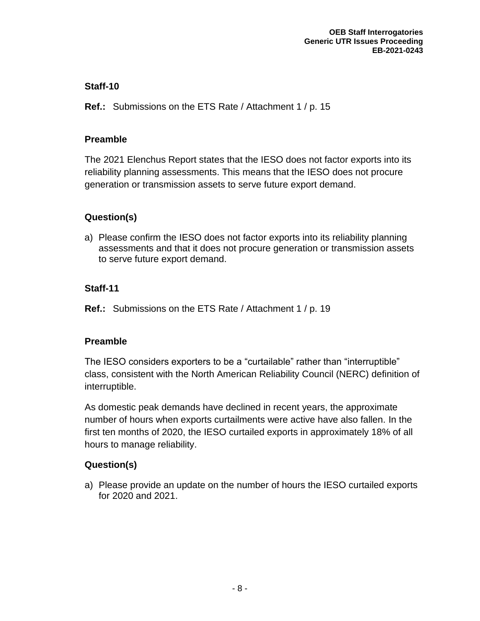**Ref.:** Submissions on the ETS Rate / Attachment 1 / p. 15

## **Preamble**

The 2021 Elenchus Report states that the IESO does not factor exports into its reliability planning assessments. This means that the IESO does not procure generation or transmission assets to serve future export demand.

# **Question(s)**

a) Please confirm the IESO does not factor exports into its reliability planning assessments and that it does not procure generation or transmission assets to serve future export demand.

# **Staff-11**

**Ref.:** Submissions on the ETS Rate / Attachment 1 / p. 19

# **Preamble**

The IESO considers exporters to be a "curtailable" rather than "interruptible" class, consistent with the North American Reliability Council (NERC) definition of interruptible.

As domestic peak demands have declined in recent years, the approximate number of hours when exports curtailments were active have also fallen. In the first ten months of 2020, the IESO curtailed exports in approximately 18% of all hours to manage reliability.

# **Question(s)**

a) Please provide an update on the number of hours the IESO curtailed exports for 2020 and 2021.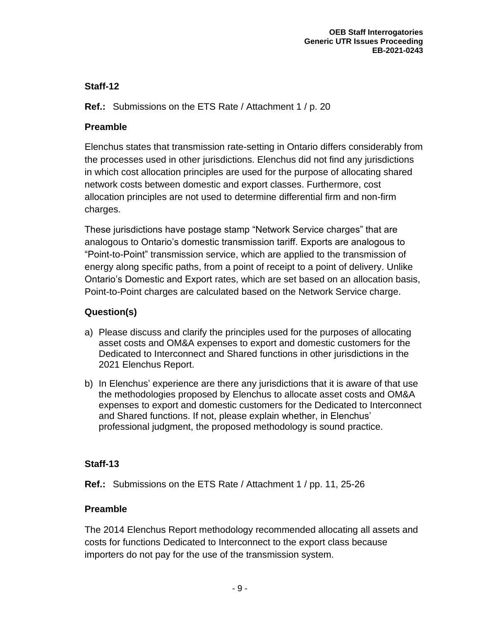**Ref.:** Submissions on the ETS Rate / Attachment 1 / p. 20

# **Preamble**

Elenchus states that transmission rate-setting in Ontario differs considerably from the processes used in other jurisdictions. Elenchus did not find any jurisdictions in which cost allocation principles are used for the purpose of allocating shared network costs between domestic and export classes. Furthermore, cost allocation principles are not used to determine differential firm and non-firm charges.

These jurisdictions have postage stamp "Network Service charges" that are analogous to Ontario's domestic transmission tariff. Exports are analogous to "Point-to-Point" transmission service, which are applied to the transmission of energy along specific paths, from a point of receipt to a point of delivery. Unlike Ontario's Domestic and Export rates, which are set based on an allocation basis, Point-to-Point charges are calculated based on the Network Service charge.

# **Question(s)**

- a) Please discuss and clarify the principles used for the purposes of allocating asset costs and OM&A expenses to export and domestic customers for the Dedicated to Interconnect and Shared functions in other jurisdictions in the 2021 Elenchus Report.
- b) In Elenchus' experience are there any jurisdictions that it is aware of that use the methodologies proposed by Elenchus to allocate asset costs and OM&A expenses to export and domestic customers for the Dedicated to Interconnect and Shared functions. If not, please explain whether, in Elenchus' professional judgment, the proposed methodology is sound practice.

## **Staff-13**

**Ref.:** Submissions on the ETS Rate / Attachment 1 / pp. 11, 25-26

# **Preamble**

The 2014 Elenchus Report methodology recommended allocating all assets and costs for functions Dedicated to Interconnect to the export class because importers do not pay for the use of the transmission system.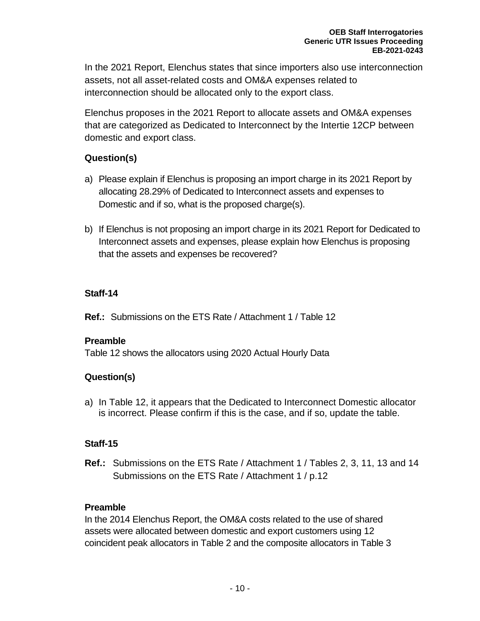In the 2021 Report, Elenchus states that since importers also use interconnection assets, not all asset-related costs and OM&A expenses related to interconnection should be allocated only to the export class.

Elenchus proposes in the 2021 Report to allocate assets and OM&A expenses that are categorized as Dedicated to Interconnect by the Intertie 12CP between domestic and export class.

# **Question(s)**

- a) Please explain if Elenchus is proposing an import charge in its 2021 Report by allocating 28.29% of Dedicated to Interconnect assets and expenses to Domestic and if so, what is the proposed charge(s).
- b) If Elenchus is not proposing an import charge in its 2021 Report for Dedicated to Interconnect assets and expenses, please explain how Elenchus is proposing that the assets and expenses be recovered?

# **Staff-14**

**Ref.:** Submissions on the ETS Rate / Attachment 1 / Table 12

## **Preamble**

Table 12 shows the allocators using 2020 Actual Hourly Data

# **Question(s)**

a) In Table 12, it appears that the Dedicated to Interconnect Domestic allocator is incorrect. Please confirm if this is the case, and if so, update the table.

# **Staff-15**

**Ref.:** Submissions on the ETS Rate / Attachment 1 / Tables 2, 3, 11, 13 and 14 Submissions on the ETS Rate / Attachment 1 / p.12

# **Preamble**

In the 2014 Elenchus Report, the OM&A costs related to the use of shared assets were allocated between domestic and export customers using 12 coincident peak allocators in Table 2 and the composite allocators in Table 3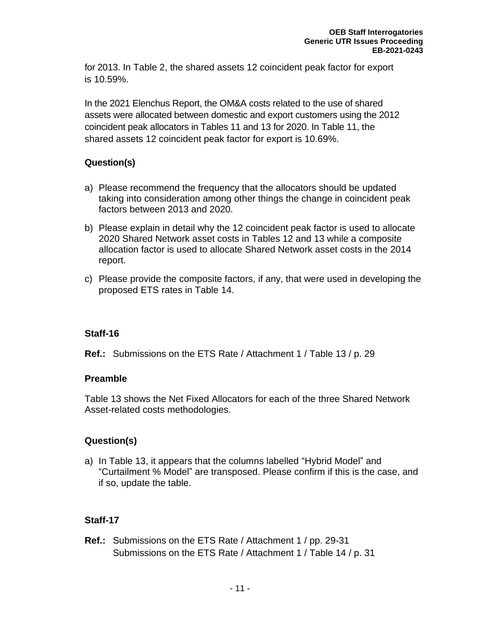for 2013. In Table 2, the shared assets 12 coincident peak factor for export is 10.59%.

In the 2021 Elenchus Report, the OM&A costs related to the use of shared assets were allocated between domestic and export customers using the 2012 coincident peak allocators in Tables 11 and 13 for 2020. In Table 11, the shared assets 12 coincident peak factor for export is 10.69%.

## **Question(s)**

- a) Please recommend the frequency that the allocators should be updated taking into consideration among other things the change in coincident peak factors between 2013 and 2020.
- b) Please explain in detail why the 12 coincident peak factor is used to allocate 2020 Shared Network asset costs in Tables 12 and 13 while a composite allocation factor is used to allocate Shared Network asset costs in the 2014 report.
- c) Please provide the composite factors, if any, that were used in developing the proposed ETS rates in Table 14.

#### **Staff-16**

**Ref.:** Submissions on the ETS Rate / Attachment 1 / Table 13 / p. 29

#### **Preamble**

Table 13 shows the Net Fixed Allocators for each of the three Shared Network Asset-related costs methodologies.

## **Question(s)**

a) In Table 13, it appears that the columns labelled "Hybrid Model" and "Curtailment % Model" are transposed. Please confirm if this is the case, and if so, update the table.

## **Staff-17**

**Ref.:** Submissions on the ETS Rate / Attachment 1 / pp. 29-31 Submissions on the ETS Rate / Attachment 1 / Table 14 / p. 31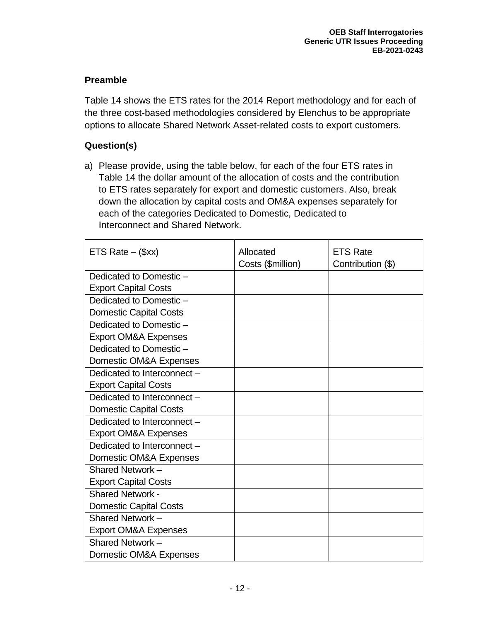# **Preamble**

Table 14 shows the ETS rates for the 2014 Report methodology and for each of the three cost-based methodologies considered by Elenchus to be appropriate options to allocate Shared Network Asset-related costs to export customers.

# **Question(s)**

a) Please provide, using the table below, for each of the four ETS rates in Table 14 the dollar amount of the allocation of costs and the contribution to ETS rates separately for export and domestic customers. Also, break down the allocation by capital costs and OM&A expenses separately for each of the categories Dedicated to Domestic, Dedicated to Interconnect and Shared Network.

| ETS Rate $-$ (\$xx)             | Allocated         | <b>ETS Rate</b>   |
|---------------------------------|-------------------|-------------------|
|                                 | Costs (\$million) | Contribution (\$) |
| Dedicated to Domestic -         |                   |                   |
| <b>Export Capital Costs</b>     |                   |                   |
| Dedicated to Domestic -         |                   |                   |
| <b>Domestic Capital Costs</b>   |                   |                   |
| Dedicated to Domestic -         |                   |                   |
| <b>Export OM&amp;A Expenses</b> |                   |                   |
| Dedicated to Domestic -         |                   |                   |
| Domestic OM&A Expenses          |                   |                   |
| Dedicated to Interconnect -     |                   |                   |
| <b>Export Capital Costs</b>     |                   |                   |
| Dedicated to Interconnect -     |                   |                   |
| <b>Domestic Capital Costs</b>   |                   |                   |
| Dedicated to Interconnect -     |                   |                   |
| <b>Export OM&amp;A Expenses</b> |                   |                   |
| Dedicated to Interconnect -     |                   |                   |
| Domestic OM&A Expenses          |                   |                   |
| Shared Network -                |                   |                   |
| <b>Export Capital Costs</b>     |                   |                   |
| <b>Shared Network -</b>         |                   |                   |
| <b>Domestic Capital Costs</b>   |                   |                   |
| Shared Network-                 |                   |                   |
| <b>Export OM&amp;A Expenses</b> |                   |                   |
| Shared Network-                 |                   |                   |
| Domestic OM&A Expenses          |                   |                   |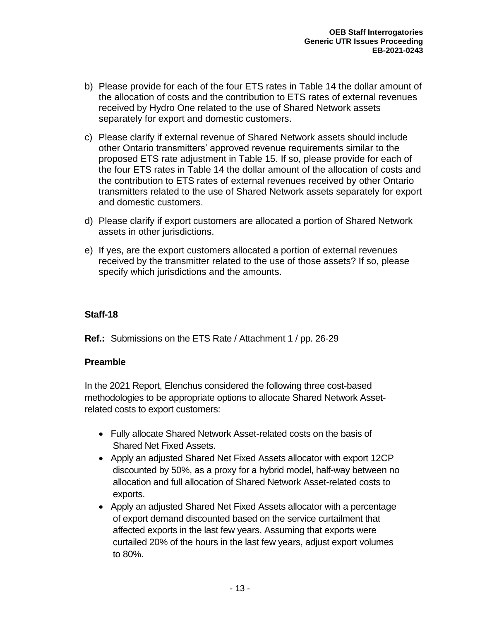- b) Please provide for each of the four ETS rates in Table 14 the dollar amount of the allocation of costs and the contribution to ETS rates of external revenues received by Hydro One related to the use of Shared Network assets separately for export and domestic customers.
- c) Please clarify if external revenue of Shared Network assets should include other Ontario transmitters' approved revenue requirements similar to the proposed ETS rate adjustment in Table 15. If so, please provide for each of the four ETS rates in Table 14 the dollar amount of the allocation of costs and the contribution to ETS rates of external revenues received by other Ontario transmitters related to the use of Shared Network assets separately for export and domestic customers.
- d) Please clarify if export customers are allocated a portion of Shared Network assets in other jurisdictions.
- e) If yes, are the export customers allocated a portion of external revenues received by the transmitter related to the use of those assets? If so, please specify which jurisdictions and the amounts.

**Ref.:** Submissions on the ETS Rate / Attachment 1 / pp. 26-29

## **Preamble**

In the 2021 Report, Elenchus considered the following three cost-based methodologies to be appropriate options to allocate Shared Network Assetrelated costs to export customers:

- Fully allocate Shared Network Asset-related costs on the basis of Shared Net Fixed Assets.
- Apply an adjusted Shared Net Fixed Assets allocator with export 12CP discounted by 50%, as a proxy for a hybrid model, half-way between no allocation and full allocation of Shared Network Asset-related costs to exports.
- Apply an adjusted Shared Net Fixed Assets allocator with a percentage of export demand discounted based on the service curtailment that affected exports in the last few years. Assuming that exports were curtailed 20% of the hours in the last few years, adjust export volumes to 80%.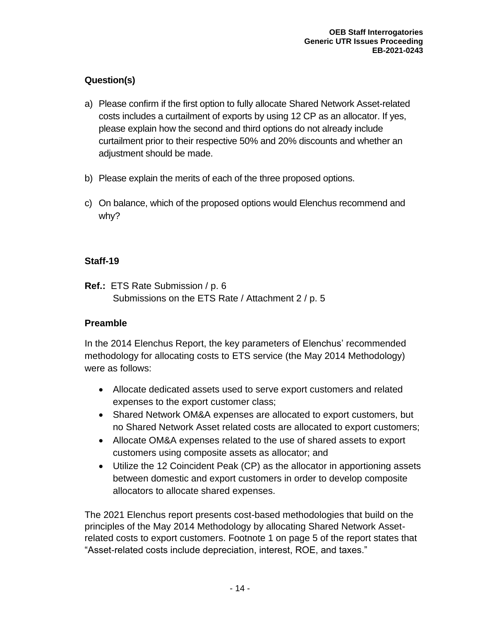# **Question(s)**

- a) Please confirm if the first option to fully allocate Shared Network Asset-related costs includes a curtailment of exports by using 12 CP as an allocator. If yes, please explain how the second and third options do not already include curtailment prior to their respective 50% and 20% discounts and whether an adjustment should be made.
- b) Please explain the merits of each of the three proposed options.
- c) On balance, which of the proposed options would Elenchus recommend and why?

# **Staff-19**

**Ref.:** ETS Rate Submission / p. 6 Submissions on the ETS Rate / Attachment 2 / p. 5

# **Preamble**

In the 2014 Elenchus Report, the key parameters of Elenchus' recommended methodology for allocating costs to ETS service (the May 2014 Methodology) were as follows:

- Allocate dedicated assets used to serve export customers and related expenses to the export customer class;
- Shared Network OM&A expenses are allocated to export customers, but no Shared Network Asset related costs are allocated to export customers;
- Allocate OM&A expenses related to the use of shared assets to export customers using composite assets as allocator; and
- Utilize the 12 Coincident Peak (CP) as the allocator in apportioning assets between domestic and export customers in order to develop composite allocators to allocate shared expenses.

The 2021 Elenchus report presents cost-based methodologies that build on the principles of the May 2014 Methodology by allocating Shared Network Assetrelated costs to export customers. Footnote 1 on page 5 of the report states that "Asset-related costs include depreciation, interest, ROE, and taxes."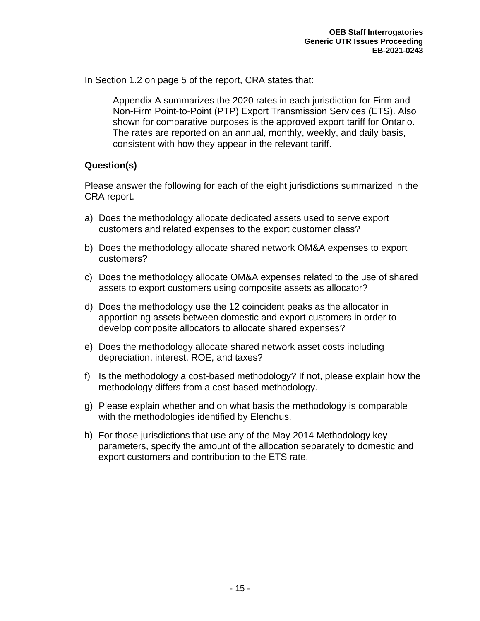In Section 1.2 on page 5 of the report, CRA states that:

Appendix A summarizes the 2020 rates in each jurisdiction for Firm and Non-Firm Point‐to‐Point (PTP) Export Transmission Services (ETS). Also shown for comparative purposes is the approved export tariff for Ontario. The rates are reported on an annual, monthly, weekly, and daily basis, consistent with how they appear in the relevant tariff.

## **Question(s)**

Please answer the following for each of the eight jurisdictions summarized in the CRA report.

- a) Does the methodology allocate dedicated assets used to serve export customers and related expenses to the export customer class?
- b) Does the methodology allocate shared network OM&A expenses to export customers?
- c) Does the methodology allocate OM&A expenses related to the use of shared assets to export customers using composite assets as allocator?
- d) Does the methodology use the 12 coincident peaks as the allocator in apportioning assets between domestic and export customers in order to develop composite allocators to allocate shared expenses?
- e) Does the methodology allocate shared network asset costs including depreciation, interest, ROE, and taxes?
- f) Is the methodology a cost-based methodology? If not, please explain how the methodology differs from a cost-based methodology.
- g) Please explain whether and on what basis the methodology is comparable with the methodologies identified by Elenchus.
- h) For those jurisdictions that use any of the May 2014 Methodology key parameters, specify the amount of the allocation separately to domestic and export customers and contribution to the ETS rate.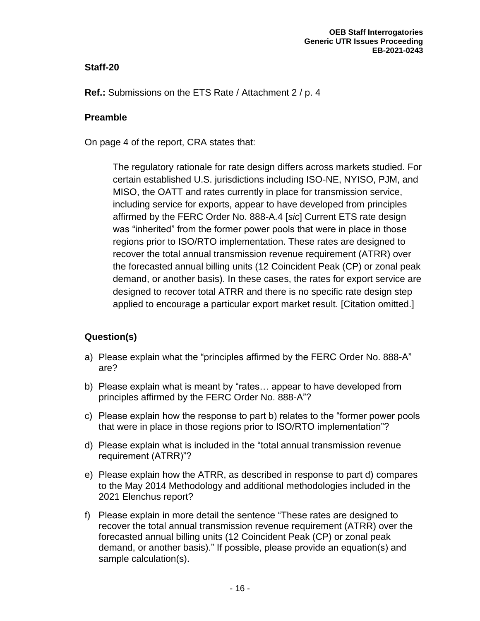**Ref.:** Submissions on the ETS Rate / Attachment 2 / p. 4

#### **Preamble**

On page 4 of the report, CRA states that:

The regulatory rationale for rate design differs across markets studied. For certain established U.S. jurisdictions including ISO-NE, NYISO, PJM, and MISO, the OATT and rates currently in place for transmission service, including service for exports, appear to have developed from principles affirmed by the FERC Order No. 888-A.4 [*sic*] Current ETS rate design was "inherited" from the former power pools that were in place in those regions prior to ISO/RTO implementation. These rates are designed to recover the total annual transmission revenue requirement (ATRR) over the forecasted annual billing units (12 Coincident Peak (CP) or zonal peak demand, or another basis). In these cases, the rates for export service are designed to recover total ATRR and there is no specific rate design step applied to encourage a particular export market result. [Citation omitted.]

- a) Please explain what the "principles affirmed by the FERC Order No. 888-A" are?
- b) Please explain what is meant by "rates… appear to have developed from principles affirmed by the FERC Order No. 888-A"?
- c) Please explain how the response to part b) relates to the "former power pools that were in place in those regions prior to ISO/RTO implementation"?
- d) Please explain what is included in the "total annual transmission revenue requirement (ATRR)"?
- e) Please explain how the ATRR, as described in response to part d) compares to the May 2014 Methodology and additional methodologies included in the 2021 Elenchus report?
- f) Please explain in more detail the sentence "These rates are designed to recover the total annual transmission revenue requirement (ATRR) over the forecasted annual billing units (12 Coincident Peak (CP) or zonal peak demand, or another basis)." If possible, please provide an equation(s) and sample calculation(s).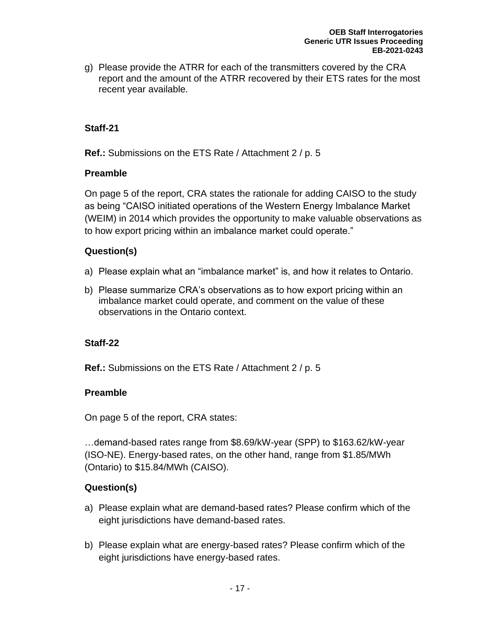g) Please provide the ATRR for each of the transmitters covered by the CRA report and the amount of the ATRR recovered by their ETS rates for the most recent year available.

## **Staff-21**

**Ref.:** Submissions on the ETS Rate / Attachment 2 / p. 5

#### **Preamble**

On page 5 of the report, CRA states the rationale for adding CAISO to the study as being "CAISO initiated operations of the Western Energy Imbalance Market (WEIM) in 2014 which provides the opportunity to make valuable observations as to how export pricing within an imbalance market could operate."

# **Question(s)**

- a) Please explain what an "imbalance market" is, and how it relates to Ontario.
- b) Please summarize CRA's observations as to how export pricing within an imbalance market could operate, and comment on the value of these observations in the Ontario context.

## **Staff-22**

**Ref.:** Submissions on the ETS Rate / Attachment 2 / p. 5

## **Preamble**

On page 5 of the report, CRA states:

…demand-based rates range from \$8.69/kW-year (SPP) to \$163.62/kW-year (ISO-NE). Energy-based rates, on the other hand, range from \$1.85/MWh (Ontario) to \$15.84/MWh (CAISO).

- a) Please explain what are demand-based rates? Please confirm which of the eight jurisdictions have demand-based rates.
- b) Please explain what are energy-based rates? Please confirm which of the eight jurisdictions have energy-based rates.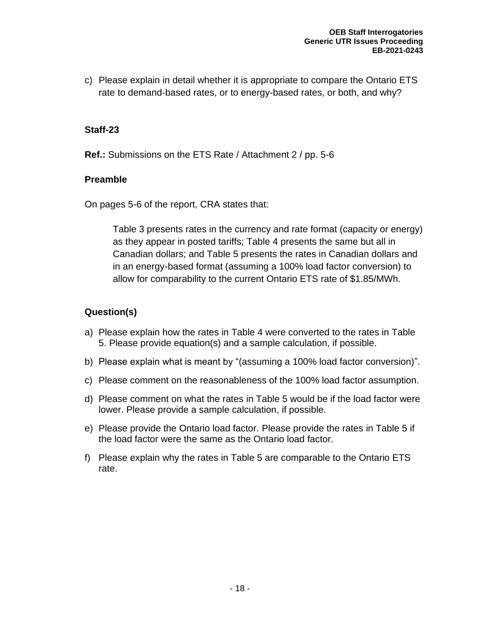c) Please explain in detail whether it is appropriate to compare the Ontario ETS rate to demand-based rates, or to energy-based rates, or both, and why?

#### **Staff-23**

**Ref.:** Submissions on the ETS Rate / Attachment 2 / pp. 5-6

#### **Preamble**

On pages 5-6 of the report, CRA states that:

Table 3 presents rates in the currency and rate format (capacity or energy) as they appear in posted tariffs; Table 4 presents the same but all in Canadian dollars; and Table 5 presents the rates in Canadian dollars and in an energy-based format (assuming a 100% load factor conversion) to allow for comparability to the current Ontario ETS rate of \$1.85/MWh.

- a) Please explain how the rates in Table 4 were converted to the rates in Table 5. Please provide equation(s) and a sample calculation, if possible.
- b) Please explain what is meant by "(assuming a 100% load factor conversion)".
- c) Please comment on the reasonableness of the 100% load factor assumption.
- d) Please comment on what the rates in Table 5 would be if the load factor were lower. Please provide a sample calculation, if possible.
- e) Please provide the Ontario load factor. Please provide the rates in Table 5 if the load factor were the same as the Ontario load factor.
- f) Please explain why the rates in Table 5 are comparable to the Ontario ETS rate.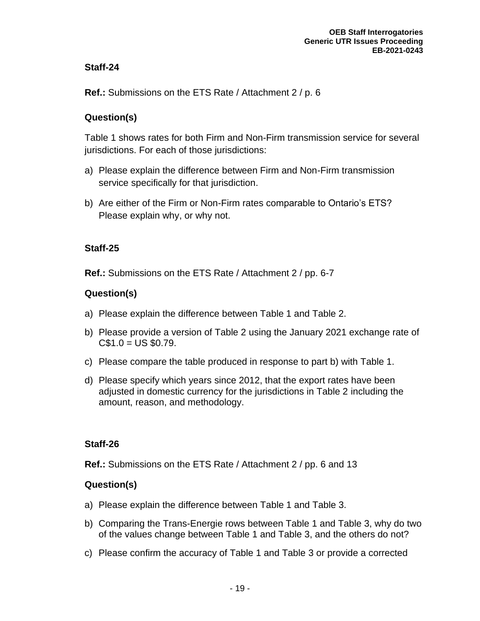**Ref.:** Submissions on the ETS Rate / Attachment 2 / p. 6

# **Question(s)**

Table 1 shows rates for both Firm and Non-Firm transmission service for several jurisdictions. For each of those jurisdictions:

- a) Please explain the difference between Firm and Non-Firm transmission service specifically for that jurisdiction.
- b) Are either of the Firm or Non-Firm rates comparable to Ontario's ETS? Please explain why, or why not.

## **Staff-25**

**Ref.:** Submissions on the ETS Rate / Attachment 2 / pp. 6-7

# **Question(s)**

- a) Please explain the difference between Table 1 and Table 2.
- b) Please provide a version of Table 2 using the January 2021 exchange rate of  $C$1.0 = US $0.79$ .
- c) Please compare the table produced in response to part b) with Table 1.
- d) Please specify which years since 2012, that the export rates have been adjusted in domestic currency for the jurisdictions in Table 2 including the amount, reason, and methodology.

## **Staff-26**

**Ref.:** Submissions on the ETS Rate / Attachment 2 / pp. 6 and 13

- a) Please explain the difference between Table 1 and Table 3.
- b) Comparing the Trans-Energie rows between Table 1 and Table 3, why do two of the values change between Table 1 and Table 3, and the others do not?
- c) Please confirm the accuracy of Table 1 and Table 3 or provide a corrected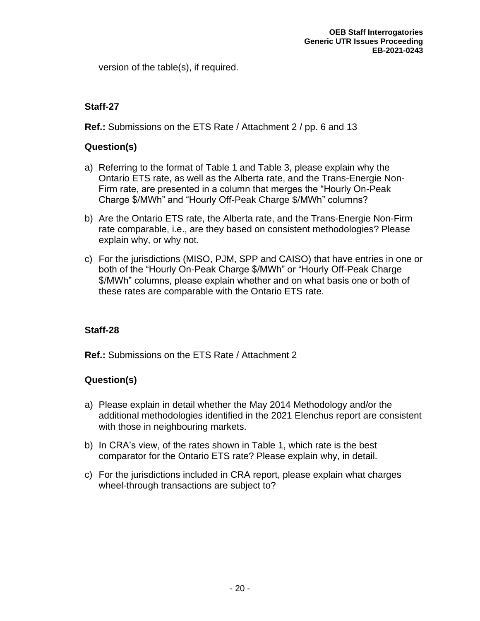version of the table(s), if required.

# **Staff-27**

**Ref.:** Submissions on the ETS Rate / Attachment 2 / pp. 6 and 13

## **Question(s)**

- a) Referring to the format of Table 1 and Table 3, please explain why the Ontario ETS rate, as well as the Alberta rate, and the Trans-Energie Non-Firm rate, are presented in a column that merges the "Hourly On-Peak Charge \$/MWh" and "Hourly Off-Peak Charge \$/MWh" columns?
- b) Are the Ontario ETS rate, the Alberta rate, and the Trans-Energie Non-Firm rate comparable, i.e., are they based on consistent methodologies? Please explain why, or why not.
- c) For the jurisdictions (MISO, PJM, SPP and CAISO) that have entries in one or both of the "Hourly On-Peak Charge \$/MWh" or "Hourly Off-Peak Charge \$/MWh" columns, please explain whether and on what basis one or both of these rates are comparable with the Ontario ETS rate.

## **Staff-28**

**Ref.:** Submissions on the ETS Rate / Attachment 2

- a) Please explain in detail whether the May 2014 Methodology and/or the additional methodologies identified in the 2021 Elenchus report are consistent with those in neighbouring markets.
- b) In CRA's view, of the rates shown in Table 1, which rate is the best comparator for the Ontario ETS rate? Please explain why, in detail.
- c) For the jurisdictions included in CRA report, please explain what charges wheel-through transactions are subject to?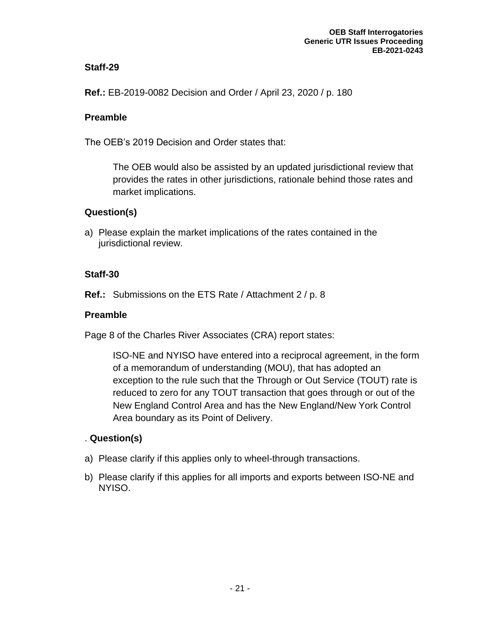**Ref.:** EB-2019-0082 Decision and Order / April 23, 2020 / p. 180

#### **Preamble**

The OEB's 2019 Decision and Order states that:

The OEB would also be assisted by an updated jurisdictional review that provides the rates in other jurisdictions, rationale behind those rates and market implications.

## **Question(s)**

a) Please explain the market implications of the rates contained in the jurisdictional review.

#### **Staff-30**

**Ref.:** Submissions on the ETS Rate / Attachment 2 / p. 8

#### **Preamble**

Page 8 of the Charles River Associates (CRA) report states:

ISO-NE and NYISO have entered into a reciprocal agreement, in the form of a memorandum of understanding (MOU), that has adopted an exception to the rule such that the Through or Out Service (TOUT) rate is reduced to zero for any TOUT transaction that goes through or out of the New England Control Area and has the New England/New York Control Area boundary as its Point of Delivery.

- a) Please clarify if this applies only to wheel-through transactions.
- b) Please clarify if this applies for all imports and exports between ISO-NE and NYISO.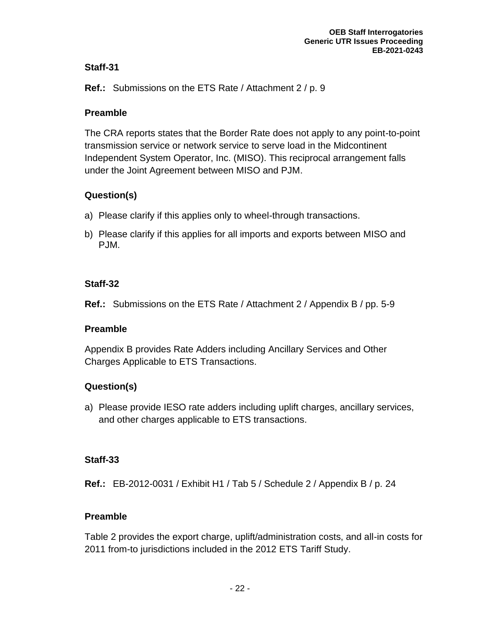**Ref.:** Submissions on the ETS Rate / Attachment 2 / p. 9

## **Preamble**

The CRA reports states that the Border Rate does not apply to any point-to-point transmission service or network service to serve load in the Midcontinent Independent System Operator, Inc. (MISO). This reciprocal arrangement falls under the Joint Agreement between MISO and PJM.

# **Question(s)**

- a) Please clarify if this applies only to wheel-through transactions.
- b) Please clarify if this applies for all imports and exports between MISO and PJM.

# **Staff-32**

**Ref.:** Submissions on the ETS Rate / Attachment 2 / Appendix B / pp. 5-9

## **Preamble**

Appendix B provides Rate Adders including Ancillary Services and Other Charges Applicable to ETS Transactions.

# **Question(s)**

a) Please provide IESO rate adders including uplift charges, ancillary services, and other charges applicable to ETS transactions.

# **Staff-33**

**Ref.:** EB-2012-0031 / Exhibit H1 / Tab 5 / Schedule 2 / Appendix B / p. 24

# **Preamble**

Table 2 provides the export charge, uplift/administration costs, and all-in costs for 2011 from-to jurisdictions included in the 2012 ETS Tariff Study.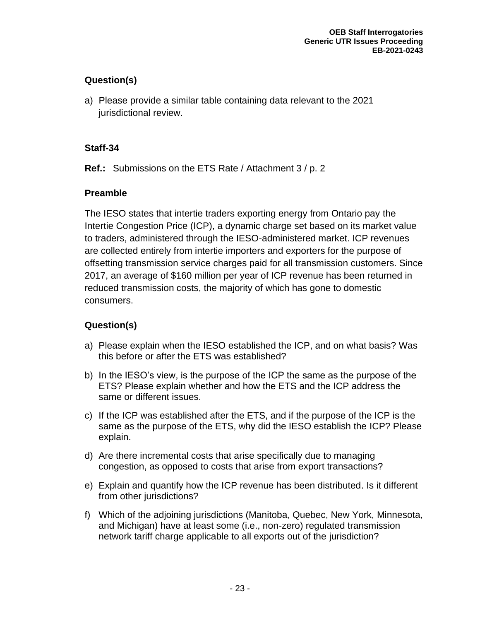# **Question(s)**

a) Please provide a similar table containing data relevant to the 2021 jurisdictional review.

## **Staff-34**

**Ref.:** Submissions on the ETS Rate / Attachment 3 / p. 2

# **Preamble**

The IESO states that intertie traders exporting energy from Ontario pay the Intertie Congestion Price (ICP), a dynamic charge set based on its market value to traders, administered through the IESO-administered market. ICP revenues are collected entirely from intertie importers and exporters for the purpose of offsetting transmission service charges paid for all transmission customers. Since 2017, an average of \$160 million per year of ICP revenue has been returned in reduced transmission costs, the majority of which has gone to domestic consumers.

- a) Please explain when the IESO established the ICP, and on what basis? Was this before or after the ETS was established?
- b) In the IESO's view, is the purpose of the ICP the same as the purpose of the ETS? Please explain whether and how the ETS and the ICP address the same or different issues.
- c) If the ICP was established after the ETS, and if the purpose of the ICP is the same as the purpose of the ETS, why did the IESO establish the ICP? Please explain.
- d) Are there incremental costs that arise specifically due to managing congestion, as opposed to costs that arise from export transactions?
- e) Explain and quantify how the ICP revenue has been distributed. Is it different from other jurisdictions?
- f) Which of the adjoining jurisdictions (Manitoba, Quebec, New York, Minnesota, and Michigan) have at least some (i.e., non-zero) regulated transmission network tariff charge applicable to all exports out of the jurisdiction?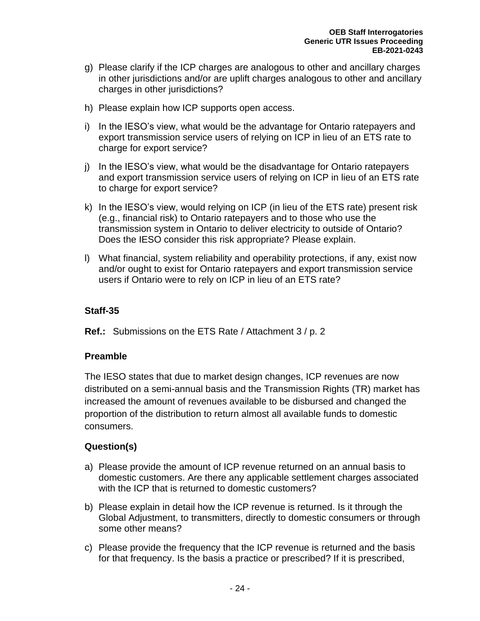- g) Please clarify if the ICP charges are analogous to other and ancillary charges in other jurisdictions and/or are uplift charges analogous to other and ancillary charges in other jurisdictions?
- h) Please explain how ICP supports open access.
- i) In the IESO's view, what would be the advantage for Ontario ratepayers and export transmission service users of relying on ICP in lieu of an ETS rate to charge for export service?
- j) In the IESO's view, what would be the disadvantage for Ontario ratepayers and export transmission service users of relying on ICP in lieu of an ETS rate to charge for export service?
- k) In the IESO's view, would relying on ICP (in lieu of the ETS rate) present risk (e.g., financial risk) to Ontario ratepayers and to those who use the transmission system in Ontario to deliver electricity to outside of Ontario? Does the IESO consider this risk appropriate? Please explain.
- l) What financial, system reliability and operability protections, if any, exist now and/or ought to exist for Ontario ratepayers and export transmission service users if Ontario were to rely on ICP in lieu of an ETS rate?

**Ref.:** Submissions on the ETS Rate / Attachment 3 / p. 2

## **Preamble**

The IESO states that due to market design changes, ICP revenues are now distributed on a semi-annual basis and the Transmission Rights (TR) market has increased the amount of revenues available to be disbursed and changed the proportion of the distribution to return almost all available funds to domestic consumers.

- a) Please provide the amount of ICP revenue returned on an annual basis to domestic customers. Are there any applicable settlement charges associated with the ICP that is returned to domestic customers?
- b) Please explain in detail how the ICP revenue is returned. Is it through the Global Adjustment, to transmitters, directly to domestic consumers or through some other means?
- c) Please provide the frequency that the ICP revenue is returned and the basis for that frequency. Is the basis a practice or prescribed? If it is prescribed,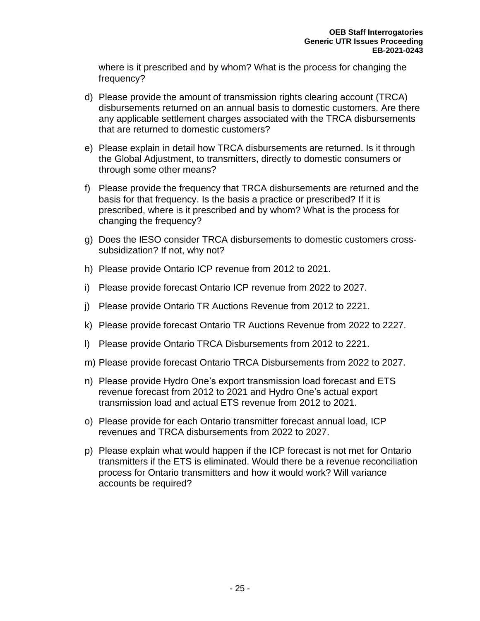where is it prescribed and by whom? What is the process for changing the frequency?

- d) Please provide the amount of transmission rights clearing account (TRCA) disbursements returned on an annual basis to domestic customers. Are there any applicable settlement charges associated with the TRCA disbursements that are returned to domestic customers?
- e) Please explain in detail how TRCA disbursements are returned. Is it through the Global Adjustment, to transmitters, directly to domestic consumers or through some other means?
- f) Please provide the frequency that TRCA disbursements are returned and the basis for that frequency. Is the basis a practice or prescribed? If it is prescribed, where is it prescribed and by whom? What is the process for changing the frequency?
- g) Does the IESO consider TRCA disbursements to domestic customers crosssubsidization? If not, why not?
- h) Please provide Ontario ICP revenue from 2012 to 2021.
- i) Please provide forecast Ontario ICP revenue from 2022 to 2027.
- j) Please provide Ontario TR Auctions Revenue from 2012 to 2221.
- k) Please provide forecast Ontario TR Auctions Revenue from 2022 to 2227.
- l) Please provide Ontario TRCA Disbursements from 2012 to 2221.
- m) Please provide forecast Ontario TRCA Disbursements from 2022 to 2027.
- n) Please provide Hydro One's export transmission load forecast and ETS revenue forecast from 2012 to 2021 and Hydro One's actual export transmission load and actual ETS revenue from 2012 to 2021.
- o) Please provide for each Ontario transmitter forecast annual load, ICP revenues and TRCA disbursements from 2022 to 2027.
- p) Please explain what would happen if the ICP forecast is not met for Ontario transmitters if the ETS is eliminated. Would there be a revenue reconciliation process for Ontario transmitters and how it would work? Will variance accounts be required?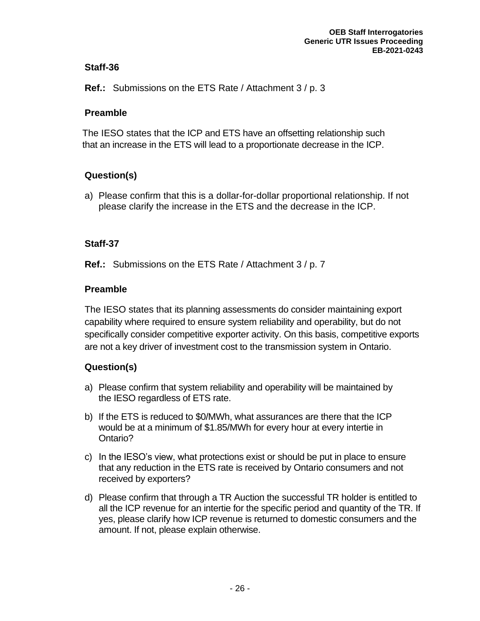**Ref.:** Submissions on the ETS Rate / Attachment 3 / p. 3

## **Preamble**

The IESO states that the ICP and ETS have an offsetting relationship such that an increase in the ETS will lead to a proportionate decrease in the ICP.

# **Question(s)**

a) Please confirm that this is a dollar-for-dollar proportional relationship. If not please clarify the increase in the ETS and the decrease in the ICP.

## **Staff-37**

**Ref.:** Submissions on the ETS Rate / Attachment 3 / p. 7

## **Preamble**

The IESO states that its planning assessments do consider maintaining export capability where required to ensure system reliability and operability, but do not specifically consider competitive exporter activity. On this basis, competitive exports are not a key driver of investment cost to the transmission system in Ontario.

- a) Please confirm that system reliability and operability will be maintained by the IESO regardless of ETS rate.
- b) If the ETS is reduced to \$0/MWh, what assurances are there that the ICP would be at a minimum of \$1.85/MWh for every hour at every intertie in Ontario?
- c) In the IESO's view, what protections exist or should be put in place to ensure that any reduction in the ETS rate is received by Ontario consumers and not received by exporters?
- d) Please confirm that through a TR Auction the successful TR holder is entitled to all the ICP revenue for an intertie for the specific period and quantity of the TR. If yes, please clarify how ICP revenue is returned to domestic consumers and the amount. If not, please explain otherwise.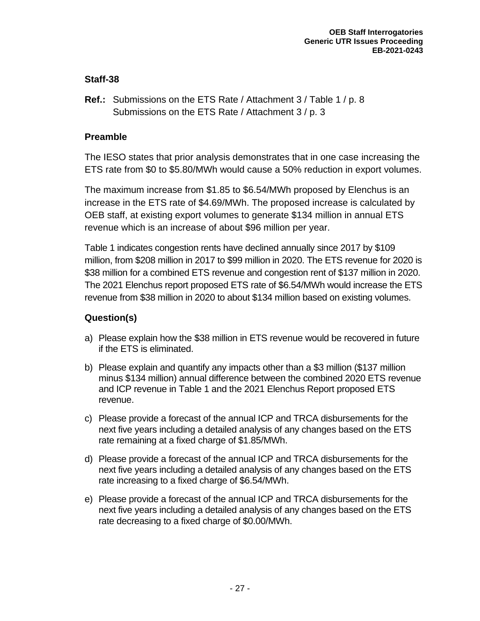**Ref.:** Submissions on the ETS Rate / Attachment 3 / Table 1 / p. 8 Submissions on the ETS Rate / Attachment 3 / p. 3

#### **Preamble**

The IESO states that prior analysis demonstrates that in one case increasing the ETS rate from \$0 to \$5.80/MWh would cause a 50% reduction in export volumes.

The maximum increase from \$1.85 to \$6.54/MWh proposed by Elenchus is an increase in the ETS rate of \$4.69/MWh. The proposed increase is calculated by OEB staff, at existing export volumes to generate \$134 million in annual ETS revenue which is an increase of about \$96 million per year.

Table 1 indicates congestion rents have declined annually since 2017 by \$109 million, from \$208 million in 2017 to \$99 million in 2020. The ETS revenue for 2020 is \$38 million for a combined ETS revenue and congestion rent of \$137 million in 2020. The 2021 Elenchus report proposed ETS rate of \$6.54/MWh would increase the ETS revenue from \$38 million in 2020 to about \$134 million based on existing volumes.

- a) Please explain how the \$38 million in ETS revenue would be recovered in future if the ETS is eliminated.
- b) Please explain and quantify any impacts other than a \$3 million (\$137 million minus \$134 million) annual difference between the combined 2020 ETS revenue and ICP revenue in Table 1 and the 2021 Elenchus Report proposed ETS revenue.
- c) Please provide a forecast of the annual ICP and TRCA disbursements for the next five years including a detailed analysis of any changes based on the ETS rate remaining at a fixed charge of \$1.85/MWh.
- d) Please provide a forecast of the annual ICP and TRCA disbursements for the next five years including a detailed analysis of any changes based on the ETS rate increasing to a fixed charge of \$6.54/MWh.
- e) Please provide a forecast of the annual ICP and TRCA disbursements for the next five years including a detailed analysis of any changes based on the ETS rate decreasing to a fixed charge of \$0.00/MWh.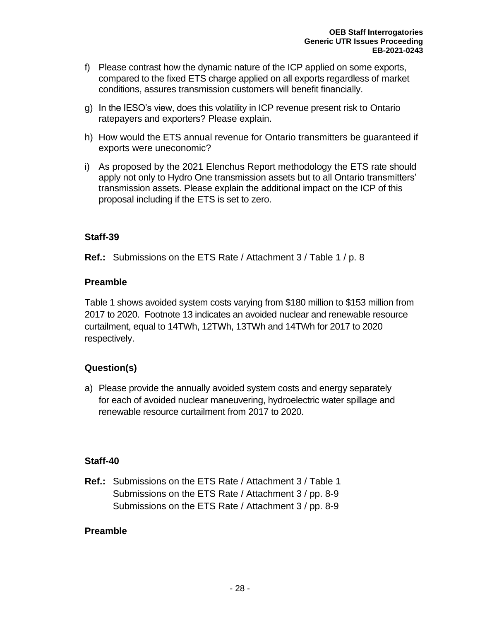- f) Please contrast how the dynamic nature of the ICP applied on some exports, compared to the fixed ETS charge applied on all exports regardless of market conditions, assures transmission customers will benefit financially.
- g) In the IESO's view, does this volatility in ICP revenue present risk to Ontario ratepayers and exporters? Please explain.
- h) How would the ETS annual revenue for Ontario transmitters be guaranteed if exports were uneconomic?
- i) As proposed by the 2021 Elenchus Report methodology the ETS rate should apply not only to Hydro One transmission assets but to all Ontario transmitters' transmission assets. Please explain the additional impact on the ICP of this proposal including if the ETS is set to zero.

**Ref.:** Submissions on the ETS Rate / Attachment 3 / Table 1 / p. 8

#### **Preamble**

Table 1 shows avoided system costs varying from \$180 million to \$153 million from 2017 to 2020. Footnote 13 indicates an avoided nuclear and renewable resource curtailment, equal to 14TWh, 12TWh, 13TWh and 14TWh for 2017 to 2020 respectively.

## **Question(s)**

a) Please provide the annually avoided system costs and energy separately for each of avoided nuclear maneuvering, hydroelectric water spillage and renewable resource curtailment from 2017 to 2020.

## **Staff-40**

**Ref.:** Submissions on the ETS Rate / Attachment 3 / Table 1 Submissions on the ETS Rate / Attachment 3 / pp. 8-9 Submissions on the ETS Rate / Attachment 3 / pp. 8-9

#### **Preamble**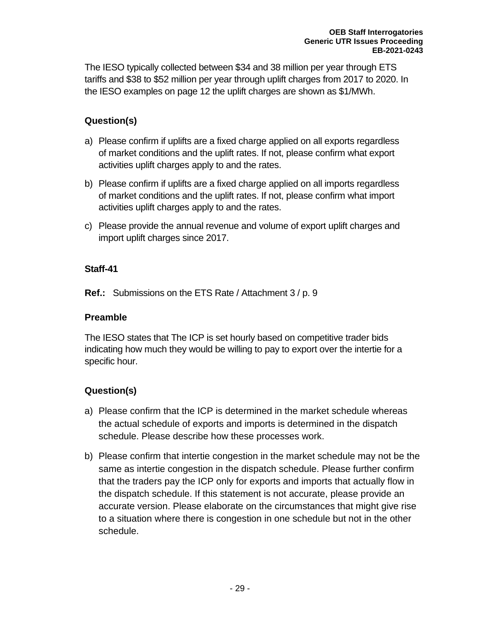The IESO typically collected between \$34 and 38 million per year through ETS tariffs and \$38 to \$52 million per year through uplift charges from 2017 to 2020. In the IESO examples on page 12 the uplift charges are shown as \$1/MWh.

# **Question(s)**

- a) Please confirm if uplifts are a fixed charge applied on all exports regardless of market conditions and the uplift rates. If not, please confirm what export activities uplift charges apply to and the rates.
- b) Please confirm if uplifts are a fixed charge applied on all imports regardless of market conditions and the uplift rates. If not, please confirm what import activities uplift charges apply to and the rates.
- c) Please provide the annual revenue and volume of export uplift charges and import uplift charges since 2017.

# **Staff-41**

**Ref.:** Submissions on the ETS Rate / Attachment 3 / p. 9

## **Preamble**

The IESO states that The ICP is set hourly based on competitive trader bids indicating how much they would be willing to pay to export over the intertie for a specific hour.

- a) Please confirm that the ICP is determined in the market schedule whereas the actual schedule of exports and imports is determined in the dispatch schedule. Please describe how these processes work.
- b) Please confirm that intertie congestion in the market schedule may not be the same as intertie congestion in the dispatch schedule. Please further confirm that the traders pay the ICP only for exports and imports that actually flow in the dispatch schedule. If this statement is not accurate, please provide an accurate version. Please elaborate on the circumstances that might give rise to a situation where there is congestion in one schedule but not in the other schedule.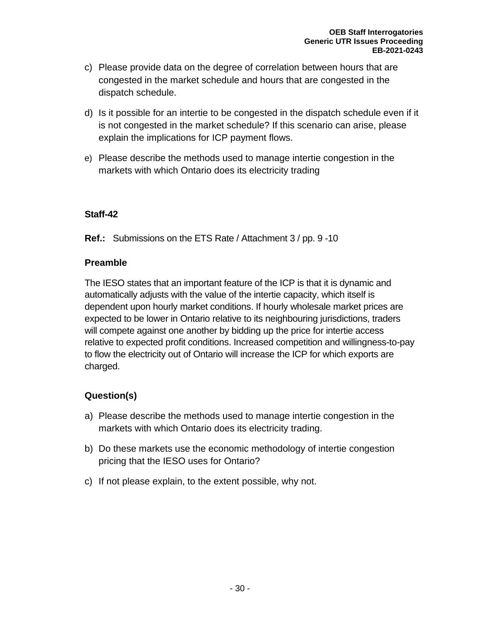- c) Please provide data on the degree of correlation between hours that are congested in the market schedule and hours that are congested in the dispatch schedule.
- d) Is it possible for an intertie to be congested in the dispatch schedule even if it is not congested in the market schedule? If this scenario can arise, please explain the implications for ICP payment flows.
- e) Please describe the methods used to manage intertie congestion in the markets with which Ontario does its electricity trading

**Ref.:** Submissions on the ETS Rate / Attachment 3 / pp. 9 -10

## **Preamble**

The IESO states that an important feature of the ICP is that it is dynamic and automatically adjusts with the value of the intertie capacity, which itself is dependent upon hourly market conditions. If hourly wholesale market prices are expected to be lower in Ontario relative to its neighbouring jurisdictions, traders will compete against one another by bidding up the price for intertie access relative to expected profit conditions. Increased competition and willingness-to-pay to flow the electricity out of Ontario will increase the ICP for which exports are charged.

- a) Please describe the methods used to manage intertie congestion in the markets with which Ontario does its electricity trading.
- b) Do these markets use the economic methodology of intertie congestion pricing that the IESO uses for Ontario?
- c) If not please explain, to the extent possible, why not.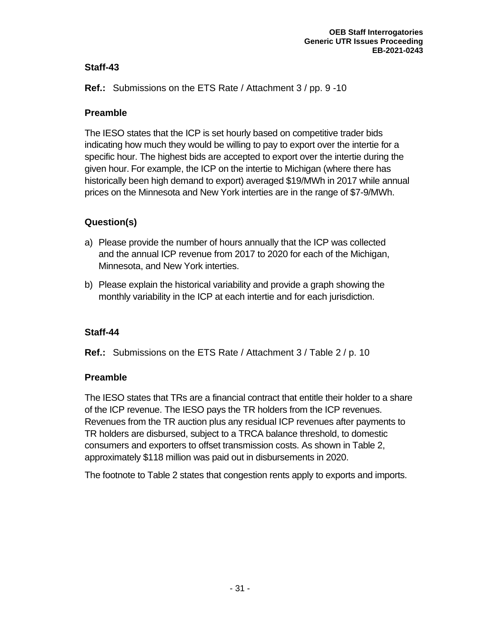**Ref.:** Submissions on the ETS Rate / Attachment 3 / pp. 9 -10

# **Preamble**

The IESO states that the ICP is set hourly based on competitive trader bids indicating how much they would be willing to pay to export over the intertie for a specific hour. The highest bids are accepted to export over the intertie during the given hour. For example, the ICP on the intertie to Michigan (where there has historically been high demand to export) averaged \$19/MWh in 2017 while annual prices on the Minnesota and New York interties are in the range of \$7-9/MWh.

# **Question(s)**

- a) Please provide the number of hours annually that the ICP was collected and the annual ICP revenue from 2017 to 2020 for each of the Michigan, Minnesota, and New York interties.
- b) Please explain the historical variability and provide a graph showing the monthly variability in the ICP at each intertie and for each jurisdiction.

# **Staff-44**

**Ref.:** Submissions on the ETS Rate / Attachment 3 / Table 2 / p. 10

# **Preamble**

The IESO states that TRs are a financial contract that entitle their holder to a share of the ICP revenue. The IESO pays the TR holders from the ICP revenues. Revenues from the TR auction plus any residual ICP revenues after payments to TR holders are disbursed, subject to a TRCA balance threshold, to domestic consumers and exporters to offset transmission costs. As shown in Table 2, approximately \$118 million was paid out in disbursements in 2020.

The footnote to Table 2 states that congestion rents apply to exports and imports.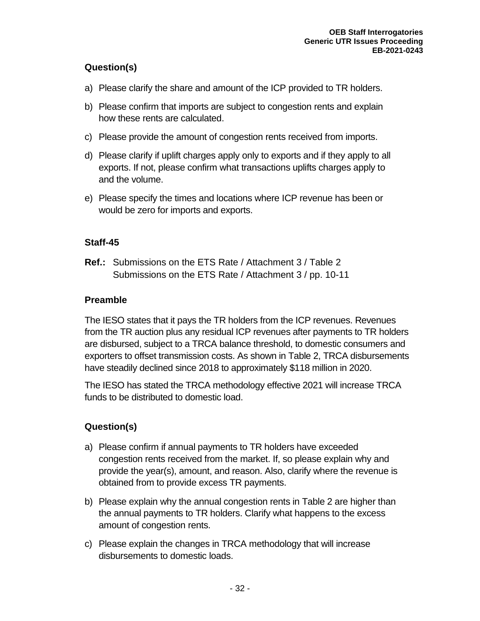# **Question(s)**

- a) Please clarify the share and amount of the ICP provided to TR holders.
- b) Please confirm that imports are subject to congestion rents and explain how these rents are calculated.
- c) Please provide the amount of congestion rents received from imports.
- d) Please clarify if uplift charges apply only to exports and if they apply to all exports. If not, please confirm what transactions uplifts charges apply to and the volume.
- e) Please specify the times and locations where ICP revenue has been or would be zero for imports and exports.

# **Staff-45**

**Ref.:** Submissions on the ETS Rate / Attachment 3 / Table 2 Submissions on the ETS Rate / Attachment 3 / pp. 10-11

# **Preamble**

The IESO states that it pays the TR holders from the ICP revenues. Revenues from the TR auction plus any residual ICP revenues after payments to TR holders are disbursed, subject to a TRCA balance threshold, to domestic consumers and exporters to offset transmission costs. As shown in Table 2, TRCA disbursements have steadily declined since 2018 to approximately \$118 million in 2020.

The IESO has stated the TRCA methodology effective 2021 will increase TRCA funds to be distributed to domestic load.

- a) Please confirm if annual payments to TR holders have exceeded congestion rents received from the market. If, so please explain why and provide the year(s), amount, and reason. Also, clarify where the revenue is obtained from to provide excess TR payments.
- b) Please explain why the annual congestion rents in Table 2 are higher than the annual payments to TR holders. Clarify what happens to the excess amount of congestion rents.
- c) Please explain the changes in TRCA methodology that will increase disbursements to domestic loads.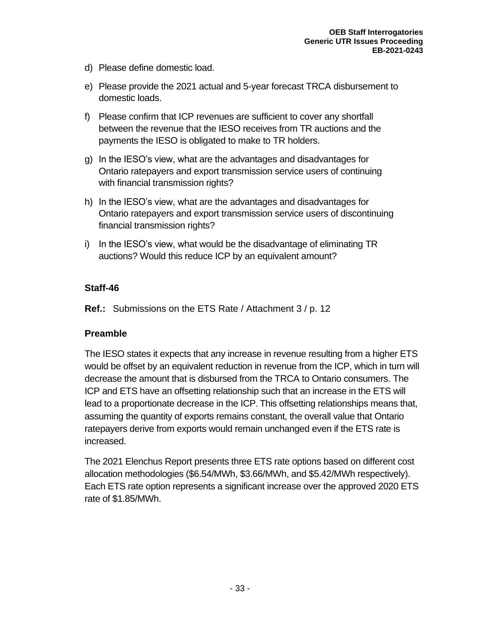- d) Please define domestic load.
- e) Please provide the 2021 actual and 5-year forecast TRCA disbursement to domestic loads.
- f) Please confirm that ICP revenues are sufficient to cover any shortfall between the revenue that the IESO receives from TR auctions and the payments the IESO is obligated to make to TR holders.
- g) In the IESO's view, what are the advantages and disadvantages for Ontario ratepayers and export transmission service users of continuing with financial transmission rights?
- h) In the IESO's view, what are the advantages and disadvantages for Ontario ratepayers and export transmission service users of discontinuing financial transmission rights?
- i) In the IESO's view, what would be the disadvantage of eliminating TR auctions? Would this reduce ICP by an equivalent amount?

**Ref.:** Submissions on the ETS Rate / Attachment 3 / p. 12

## **Preamble**

The IESO states it expects that any increase in revenue resulting from a higher ETS would be offset by an equivalent reduction in revenue from the ICP, which in turn will decrease the amount that is disbursed from the TRCA to Ontario consumers. The ICP and ETS have an offsetting relationship such that an increase in the ETS will lead to a proportionate decrease in the ICP. This offsetting relationships means that, assuming the quantity of exports remains constant, the overall value that Ontario ratepayers derive from exports would remain unchanged even if the ETS rate is increased.

The 2021 Elenchus Report presents three ETS rate options based on different cost allocation methodologies (\$6.54/MWh, \$3.66/MWh, and \$5.42/MWh respectively). Each ETS rate option represents a significant increase over the approved 2020 ETS rate of \$1.85/MWh.